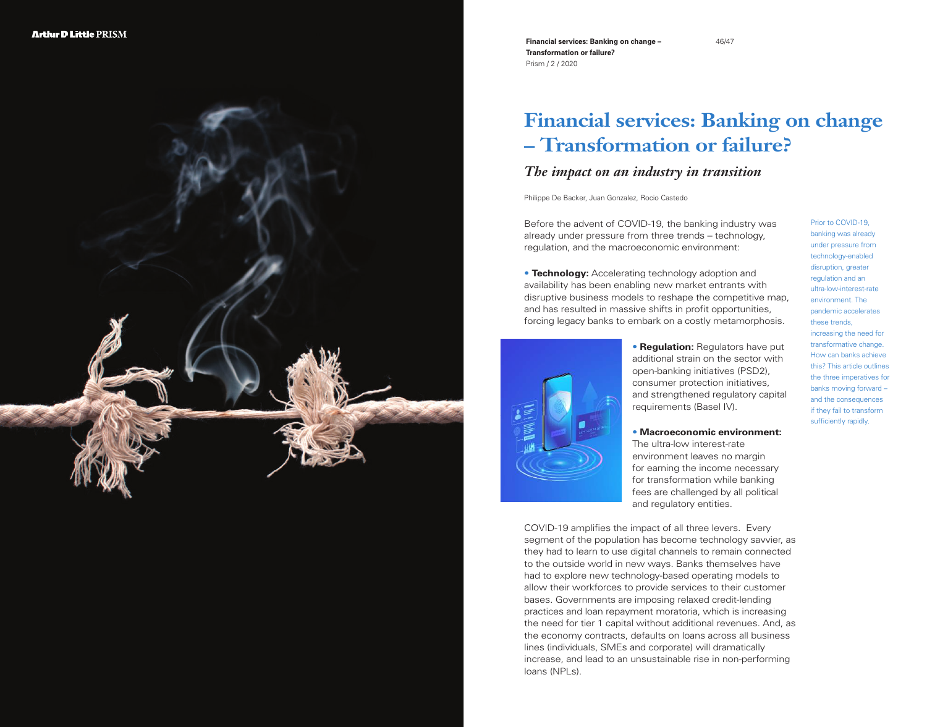

**Financial services: Banking on change – Transformation or failure?**  Prism / 2 / 2020

# **Financial services: Banking on change – Transformation or failure?**

# *The impact on an industry in transition*

Philippe De Backer, Juan Gonzalez, Rocio Castedo

Before the advent of COVID-19, the banking industry was already under pressure from three trends – technology, regulation, and the macroeconomic environment:

• **Technology:** Accelerating technology adoption and availability has been enabling new market entrants with disruptive business models to reshape the competitive map, and has resulted in massive shifts in profit opportunities, forcing legacy banks to embark on a costly metamorphosis.

> • **Regulation:** Regulators have put additional strain on the sector with open-banking initiatives (PSD2), consumer protection initiatives, and strengthened regulatory capital requirements (Basel IV).

• **Macroeconomic environment:** The ultra-low interest-rate environment leaves no margin for earning the income necessary for transformation while banking fees are challenged by all political and regulatory entities.

COVID-19 amplifies the impact of all three levers. Every segment of the population has become technology savvier, as they had to learn to use digital channels to remain connected to the outside world in new ways. Banks themselves have had to explore new technology-based operating models to allow their workforces to provide services to their customer bases. Governments are imposing relaxed credit-lending practices and loan repayment moratoria, which is increasing the need for tier 1 capital without additional revenues. And, as the economy contracts, defaults on loans across all business lines (individuals, SMEs and corporate) will dramatically increase, and lead to an unsustainable rise in non-performing loans (NPLs).

Prior to COVID-19, banking was already under pressure from technology-enabled disruption, greater regulation and an ultra-low-interest-rate environment. The pandemic accelerates these trends, increasing the need for transformative change. How can banks achieve this? This article outlines the three imperatives for banks moving forward – and the consequences if they fail to transform sufficiently rapidly.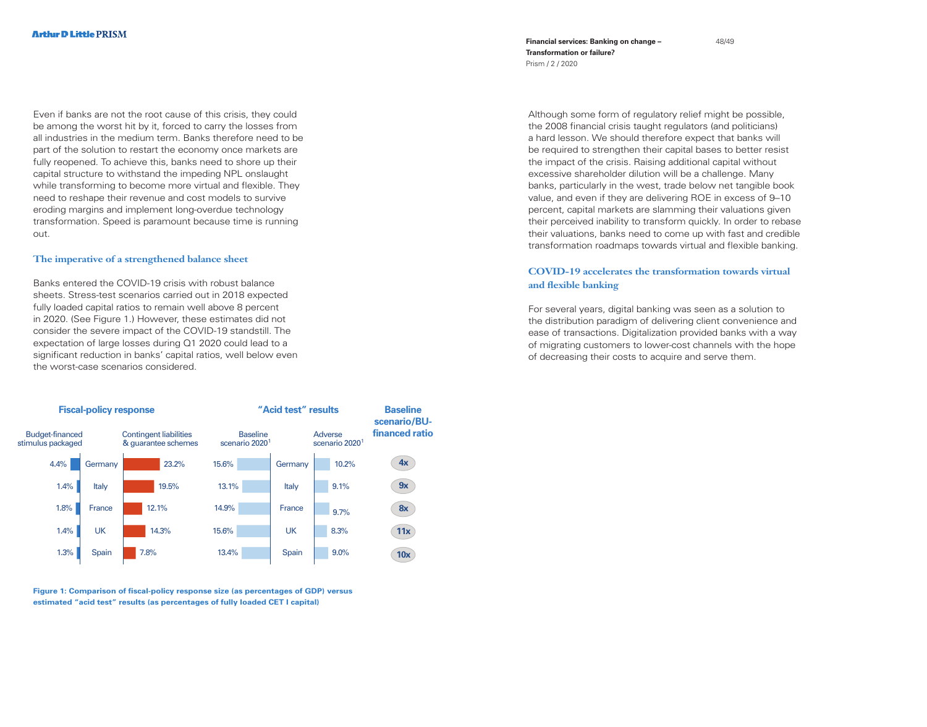Even if banks are not the root cause of this crisis, they could be among the worst hit by it, forced to carry the losses from all industries in the medium term. Banks therefore need to be part of the solution to restart the economy once markets are fully reopened. To achieve this, banks need to shore up their capital structure to withstand the impeding NPL onslaught while transforming to become more virtual and flexible. They need to reshape their revenue and cost models to survive eroding margins and implement long-overdue technology transformation. Speed is paramount because time is running out.

#### **The imperative of a strengthened balance sheet**

Banks entered the COVID-19 crisis with robust balance sheets. Stress-test scenarios carried out in 2018 expected fully loaded capital ratios to remain well above 8 percent in 2020. (See Figure 1.) However, these estimates did not consider the severe impact of the COVID-19 standstill. The expectation of large losses during Q1 2020 could lead to a significant reduction in banks' capital ratios, well below even the worst-case scenarios considered.



**Figure 1: Comparison of fiscal-policy response size (as percentages of GDP) versus estimated "acid test" results (as percentages of fully loaded CET I capital)**

**Financial services: Banking on change – Transformation or failure?**  Prism / 2 / 2020

Although some form of regulatory relief might be possible, the 2008 financial crisis taught regulators (and politicians) a hard lesson. We should therefore expect that banks will be required to strengthen their capital bases to better resist the impact of the crisis. Raising additional capital without excessive shareholder dilution will be a challenge. Many banks, particularly in the west, trade below net tangible book value, and even if they are delivering ROE in excess of 9–10 percent, capital markets are slamming their valuations given their perceived inability to transform quickly. In order to rebase their valuations, banks need to come up with fast and credible transformation roadmaps towards virtual and flexible banking.

# **COVID-19 accelerates the transformation towards virtual and flexible banking**

For several years, digital banking was seen as a solution to the distribution paradigm of delivering client convenience and ease of transactions. Digitalization provided banks with a way of migrating customers to lower-cost channels with the hope of decreasing their costs to acquire and serve them.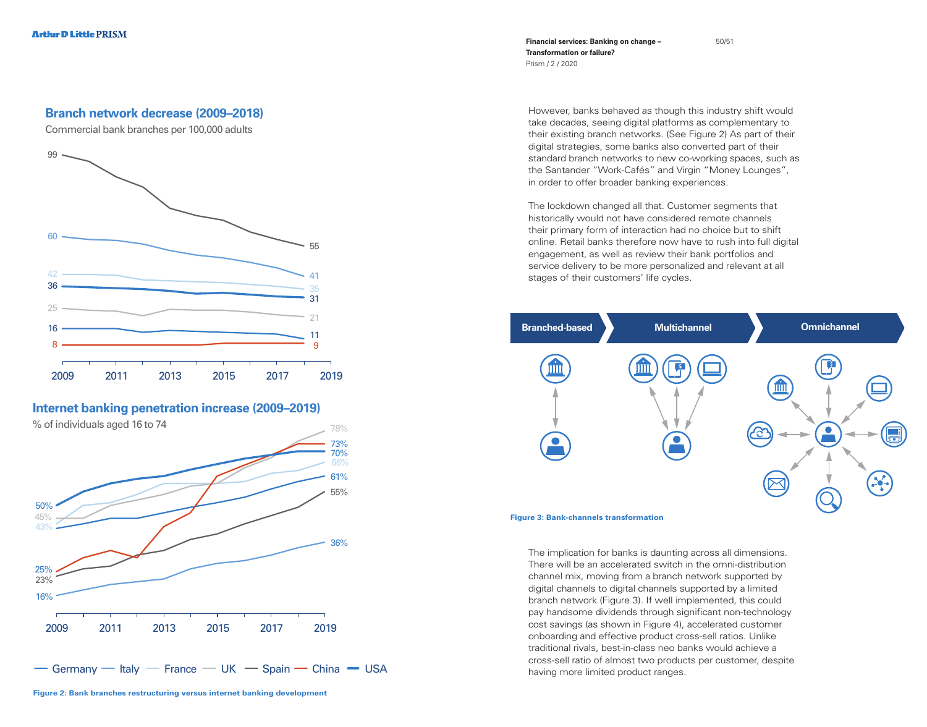**Financial services: Banking on change – Transformation or failure?**  Prism / 2 / 2020

# However, banks behaved as though this industry shift would take decades, seeing digital platforms as complementary to their existing branch networks. (See Figure 2) As part of their digital strategies, some banks also converted part of their standard branch networks to new co-working spaces, such as the Santander "Work-Cafés" and Virgin "Money Lounges", in order to offer broader banking experiences.

The lockdown changed all that. Customer segments that historically would not have considered remote channels their primary form of interaction had no choice but to shift online. Retail banks therefore now have to rush into full digital engagement, as well as review their bank portfolios and service delivery to be more personalized and relevant at all stages of their customers' life cycles.



The implication for banks is daunting across all dimensions. There will be an accelerated switch in the omni-distribution channel mix, moving from a branch network supported by digital channels to digital channels supported by a limited branch network (Figure 3). If well implemented, this could pay handsome dividends through significant non-technology cost savings (as shown in Figure 4), accelerated customer onboarding and effective product cross-sell ratios. Unlike traditional rivals, best-in-class neo banks would achieve a cross-sell ratio of almost two products per customer, despite having more limited product ranges.

# **Branch network decrease (2009–2018)**

Commercial bank branches per 100,000 adults



# **Internet banking penetration increase (2009–2019)**

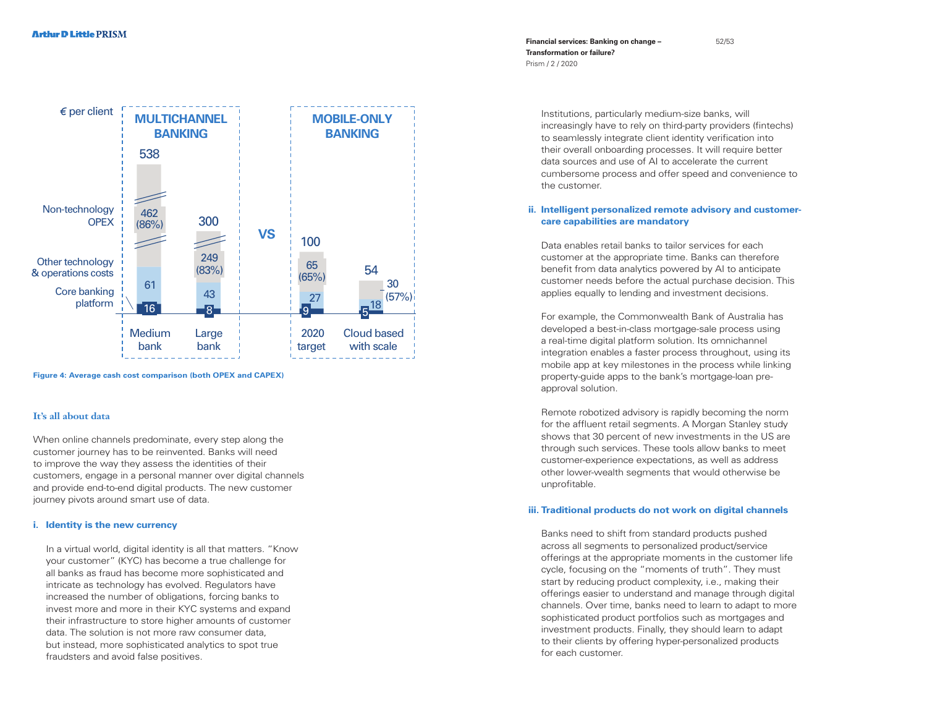

**Figure 4: Average cash cost comparison (both OPEX and CAPEX)**

#### **It's all about data**

When online channels predominate, every step along the customer journey has to be reinvented. Banks will need to improve the way they assess the identities of their customers, engage in a personal manner over digital channels and provide end-to-end digital products. The new customer journey pivots around smart use of data.

#### **i. Identity is the new currency**

 In a virtual world, digital identity is all that matters. "Know your customer" (KYC) has become a true challenge for all banks as fraud has become more sophisticated and intricate as technology has evolved. Regulators have increased the number of obligations, forcing banks to invest more and more in their KYC systems and expand their infrastructure to store higher amounts of customer data. The solution is not more raw consumer data, but instead, more sophisticated analytics to spot true fraudsters and avoid false positives.

**Financial services: Banking on change – Transformation or failure?**  Prism / 2 / 2020

> Institutions, particularly medium-size banks, will increasingly have to rely on third-party providers (fintechs) to seamlessly integrate client identity verification into their overall onboarding processes. It will require better data sources and use of AI to accelerate the current cumbersome process and offer speed and convenience to the customer.

### **ii. Intelligent personalized remote advisory and customercare capabilities are mandatory**

 Data enables retail banks to tailor services for each customer at the appropriate time. Banks can therefore benefit from data analytics powered by AI to anticipate customer needs before the actual purchase decision. This applies equally to lending and investment decisions.

 For example, the Commonwealth Bank of Australia has developed a best-in-class mortgage-sale process using a real-time digital platform solution. Its omnichannel integration enables a faster process throughout, using its mobile app at key milestones in the process while linking property-guide apps to the bank's mortgage-loan preapproval solution.

 Remote robotized advisory is rapidly becoming the norm for the affluent retail segments. A Morgan Stanley study shows that 30 percent of new investments in the US are through such services. These tools allow banks to meet customer-experience expectations, as well as address other lower-wealth segments that would otherwise be unprofitable.

#### **iii. Traditional products do not work on digital channels**

 Banks need to shift from standard products pushed across all segments to personalized product/service offerings at the appropriate moments in the customer life cycle, focusing on the "moments of truth". They must start by reducing product complexity, i.e., making their offerings easier to understand and manage through digital channels. Over time, banks need to learn to adapt to more sophisticated product portfolios such as mortgages and investment products. Finally, they should learn to adapt to their clients by offering hyper-personalized products for each customer.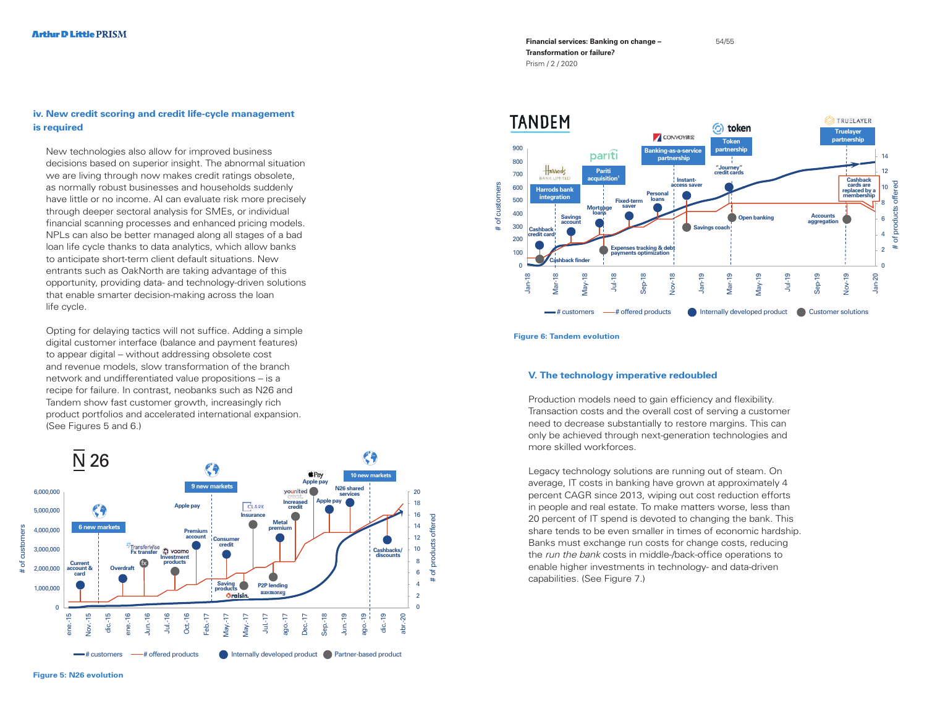## **iv. New credit scoring and credit life-cycle management is required**

 New technologies also allow for improved business decisions based on superior insight. The abnormal situation we are living through now makes credit ratings obsolete, as normally robust businesses and households suddenly have little or no income. AI can evaluate risk more precisely through deeper sectoral analysis for SMEs, or individual financial scanning processes and enhanced pricing models. NPLs can also be better managed along all stages of a bad loan life cycle thanks to data analytics, which allow banks to anticipate short-term client default situations. New entrants such as OakNorth are taking advantage of this opportunity, providing data- and technology-driven solutions that enable smarter decision-making across the loan life cycle.

 Opting for delaying tactics will not suffice. Adding a simple digital customer interface (balance and payment features) to appear digital – without addressing obsolete cost and revenue models, slow transformation of the branch network and undifferentiated value propositions – is a recipe for failure. In contrast, neobanks such as N26 and Tandem show fast customer growth, increasingly rich product portfolios and accelerated international expansion. (See Figures 5 and 6.)



**Figure 5: N26 evolution**

**Financial services: Banking on change –** 54/55 **Transformation or failure?**  Prism / 2 / 2020



**Figure 6: Tandem evolution**

#### **V. The technology imperative redoubled**

Production models need to gain efficiency and flexibility. Transaction costs and the overall cost of serving a customer need to decrease substantially to restore margins. This can only be achieved through next-generation technologies and more skilled workforces.

Legacy technology solutions are running out of steam. On average, IT costs in banking have grown at approximately 4 percent CAGR since 2013, wiping out cost reduction efforts in people and real estate. To make matters worse, less than 20 percent of IT spend is devoted to changing the bank. This share tends to be even smaller in times of economic hardship. Banks must exchange run costs for change costs, reducing the *run the bank* costs in middle-/back-office operations to enable higher investments in technology- and data-driven capabilities. (See Figure 7.)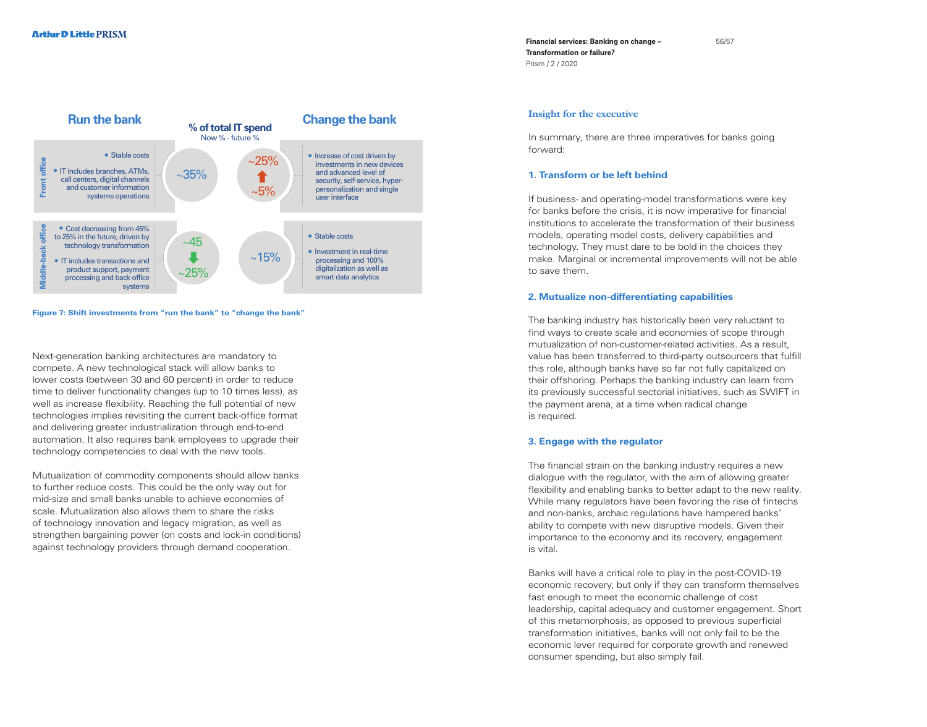

**Figure 7: Shift investments from "run the bank" to "change the bank"**

Next-generation banking architectures are mandatory to compete. A new technological stack will allow banks to lower costs (between 30 and 60 percent) in order to reduce time to deliver functionality changes (up to 10 times less), as well as increase flexibility. Reaching the full potential of new technologies implies revisiting the current back-office format and delivering greater industrialization through end-to-end automation. It also requires bank employees to upgrade their technology competencies to deal with the new tools.

Mutualization of commodity components should allow banks to further reduce costs. This could be the only way out for mid-size and small banks unable to achieve economies of scale. Mutualization also allows them to share the risks of technology innovation and legacy migration, as well as strengthen bargaining power (on costs and lock-in conditions) against technology providers through demand cooperation.

**Financial services: Banking on change – Transformation or failure?**  Prism / 2 / 2020

#### **Insight for the executive**

In summary, there are three imperatives for banks going forward:

## **1. Transform or be left behind**

If business- and operating-model transformations were key for banks before the crisis, it is now imperative for financial institutions to accelerate the transformation of their business models, operating model costs, delivery capabilities and technology. They must dare to be bold in the choices they make. Marginal or incremental improvements will not be able to save them.

#### **2. Mutualize non-differentiating capabilities**

The banking industry has historically been very reluctant to find ways to create scale and economies of scope through mutualization of non-customer-related activities. As a result, value has been transferred to third-party outsourcers that fulfill this role, although banks have so far not fully capitalized on their offshoring. Perhaps the banking industry can learn from its previously successful sectorial initiatives, such as SWIFT in the payment arena, at a time when radical change is required.

#### **3. Engage with the regulator**

The financial strain on the banking industry requires a new dialogue with the regulator, with the aim of allowing greater flexibility and enabling banks to better adapt to the new reality. While many regulators have been favoring the rise of fintechs and non-banks, archaic regulations have hampered banks' ability to compete with new disruptive models. Given their importance to the economy and its recovery, engagement is vital.

Banks will have a critical role to play in the post-COVID-19 economic recovery, but only if they can transform themselves fast enough to meet the economic challenge of cost leadership, capital adequacy and customer engagement. Short of this metamorphosis, as opposed to previous superficial transformation initiatives, banks will not only fail to be the economic lever required for corporate growth and renewed consumer spending, but also simply fail.

56/57